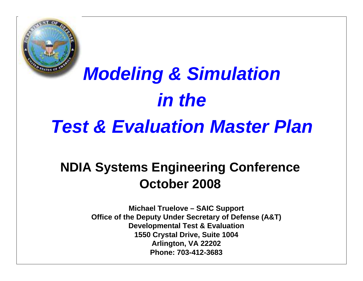

# *Modeling & Simulation in theTest & Evaluation Master Plan*

### **NDIA Systems Engineering Conference October 2008**

**Michael Truelove – SAIC Support Office of the Deputy Under Secretary of Defense (A&T) Developmental Test & Evaluation 1550 Crystal Drive, Suite 1004 Arlington, VA 22202 Phone: 703-412-3683**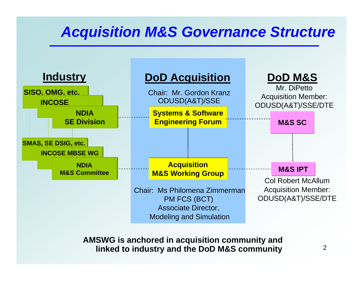### *Acquisition M&S Governance Structure*



**AMSWG is anchored in acquisition community and linked to industry and the DoD M&S community**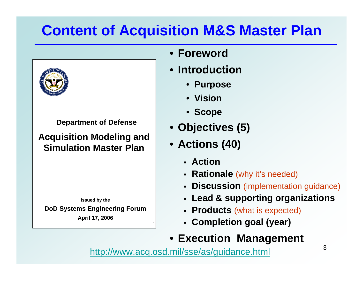# **Content of Acquisition M&S Master Plan**



**Department of Defense**

**Acquisition Modeling and Simulation Master Plan**

**Issued by the**

**DoD Systems Engineering Forum**

**April 17, 2006**

- **Foreword**
- **Introduction**
	- **Purpose**
	- **Vision**
	- **Scope**
- **Objectives (5)**
- **Actions (40)**
	- **Action**
	- **Rationale** (why it's needed)
	- **Discussion** (implementation guidance)
	- **Lead & supporting organizations**
	- **Products** (what is expected)
	- **Completion goal (year)**
- **Execution Management**

<http://www.acq.osd.mil/sse/as/guidance.html>

1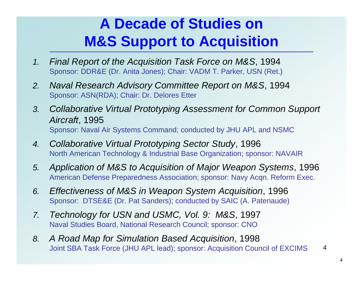### **A Decade of Studies on M&S Support to Acquisition**

- *1. Final Report of the Acquisition Task Force on M&S*, 1994 Sponsor: DDR&E (Dr. Anita Jones); Chair: VADM T. Parker, USN (Ret.)
- *2. Naval Research Advisory Committee Report on M&S*, 1994 Sponsor: ASN(RDA); Chair: Dr. Delores Etter
- *3. Collaborative Virtual Prototyping Assessment for Common Support Aircraft*, 1995 Sponsor: Naval Air Systems Command; conducted by JHU APL and NSMC
- *4. Collaborative Virtual Prototyping Sector Study*, 1996 North American Technology & Industrial Base Organization; sponsor: NAVAIR
- *5. Application of M&S to Acquisition of Major Weapon Systems*, 1996 American Defense Preparedness Association; sponsor: Navy Acqn. Reform Exec.
- *6. Effectiveness of M&S in Weapon System Acquisition*, 1996 Sponsor: DTSE&E (Dr. Pat Sanders); conducted by SAIC (A. Patenaude)
- *7. Technology for USN and USMC, Vol. 9: M&S*, 1997 Naval Studies Board, National Research Council; sponsor: CNO
- 4*8. A Road Map for Simulation Based Acquisition*, 1998 Joint SBA Task Force (JHU APL lead); sponsor: Acquisition Council of EXCIMS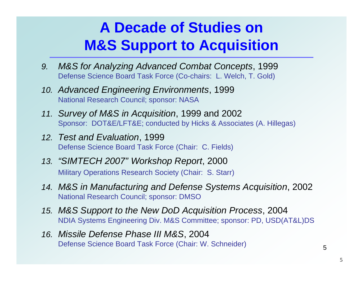### **A Decade of Studies onM&S Support to Acquisition**

- *9. M&S for Analyzing Advanced Combat Concepts*, 1999 Defense Science Board Task Force (Co-chairs: L. Welch, T. Gold)
- *10. Advanced Engineering Environments*, 1999 National Research Council; sponsor: NASA
- *11. Survey of M&S in Acquisition*, 1999 and 2002 Sponsor: DOT&E/LFT&E; conducted by Hicks & Associates (A. Hillegas)
- *12. Test and Evaluation*, 1999 Defense Science Board Task Force (Chair: C. Fields)
- *13. "SIMTECH 2007" Workshop Report*, 2000 Military Operations Research Society (Chair: S. Starr)
- *14. M&S in Manufacturing and Defense Systems Acquisition*, 2002 National Research Council; sponsor: DMSO
- *15. M&S Support to the New DoD Acquisition Process*, 2004 NDIA Systems Engineering Div. M&S Committee; sponsor: PD, USD(AT&L)DS
- *16. Missile Defense Phase III M&S*, 2004 Defense Science Board Task Force (Chair: W. Schneider)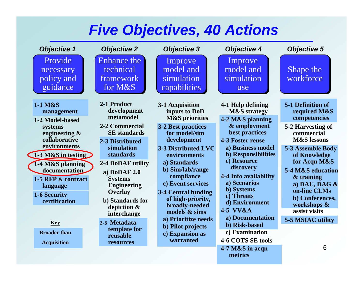### *Five Objectives, 40 Actions*

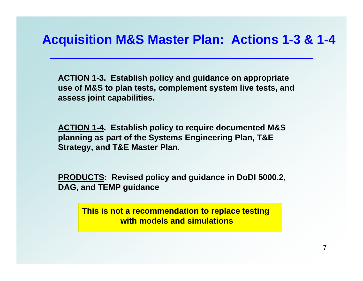**ACTION 1-3. Establish policy and guidance on appropriate use of M&S to plan tests, complement system live tests, and assess joint capabilities.**

**ACTION 1-4. Establish policy to require documented M&S planning as part of the Systems Engineering Plan, T&E Strategy, and T&E Master Plan.**

**PRODUCTS: Revised policy and guidance in DoDI 5000.2, DAG, and TEMP guidance**

> **This is not a recommendation to replace testing with models and simulations**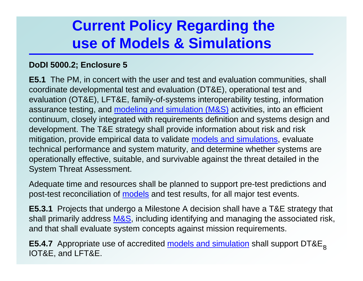### **Current Policy Regarding the use of Models & Simulations**

#### **DoDI 5000.2; Enclosure 5**

**E5.1** The PM, in concert with the user and test and evaluation communities, shall coordinate developmental test and evaluation (DT&E), operational test and evaluation (OT&E), LFT&E, family-of-systems interoperability testing, information assurance testing, and modeling and simulation (M&S) activities, into an efficient continuum, closely integrated with requirements definition and systems design and development. The T&E strategy shall provide information about risk and risk mitigation, provide empirical data to validate models and simulations, evaluate technical performance and system maturity, and determine whether systems are operationally effective, suitable, and survivable against the threat detailed in the System Threat Assessment.

Adequate time and resources shall be planned to support pre-test predictions and post-test reconciliation of models and test results, for all major test events.

**E5.3.1** Projects that undergo a Milestone A decision shall have a T&E strategy that shall primarily address M&S, including identifying and managing the associated risk, and that shall evaluate system concepts against mission requirements.

**E5.4.7** Appropriate use of accredited <u>models and simulation</u> shall support DT&E<sub>g</sub> IOT&E, and LFT&E.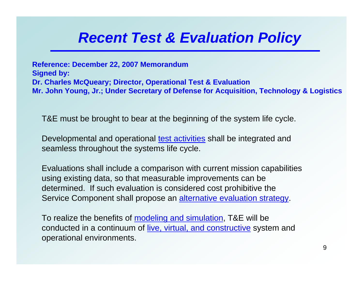### *Recent Test & Evaluation Policy*

**Reference: December 22, 2007 Memorandum Signed by: Dr. Charles McQueary; Director, Operational Test & Evaluation Mr. John Young, Jr.; Under Secretary of Defense for Acquisition, Technology & Logistics**

T&E must be brought to bear at the beginning of the system life cycle.

Developmental and operational test activities shall be integrated and seamless throughout the systems life cycle.

Evaluations shall include a comparison with current mission capabilities using existing data, so that measurable improvements can be determined. If such evaluation is considered cost prohibitive the Service Component shall propose an alternative evaluation strategy.

To realize the benefits of modeling and simulation, T&E will be conducted in a continuum of live, virtual, and constructive system and operational environments.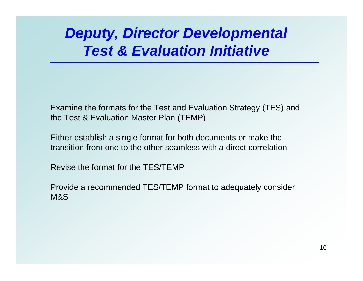### *Deputy, Director Developmental Test & Evaluation Initiative*

Examine the formats for the Test and Evaluation Strategy (TES) and the Test & Evaluation Master Plan (TEMP)

Either establish a single format for both documents or make the transition from one to the other seamless with a direct correlation

Revise the format for the TES/TEMP

Provide a recommended TES/TEMP format to adequately consider M&S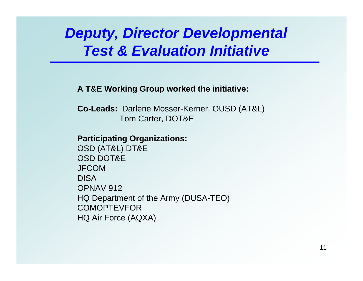### *Deputy, Director Developmental Test & Evaluation Initiative*

**A T&E Working Group worked the initiative:**

**Co-Leads:** Darlene Mosser-Kerner, OUSD (AT&L) Tom Carter, DOT&E

#### **Participating Organizations:**

OSD (AT&L) DT&E OSD DOT&EJFCOMDISAOPNAV 912HQ Department of the Army (DUSA-TEO) **COMOPTEVFOR** HQ Air Force (AQXA)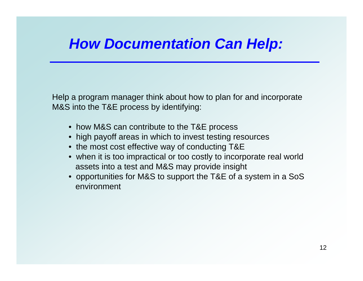# *How Documentation Can Help:*

Help a program manager think about how to plan for and incorporate M&S into the T&E process by identifying:

- how M&S can contribute to the T&E process
- high payoff areas in which to invest testing resources
- the most cost effective way of conducting T&E
- when it is too impractical or too costly to incorporate real world assets into a test and M&S may provide insight
- opportunities for M&S to support the T&E of a system in a SoS environment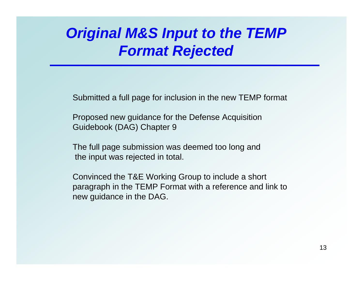### *Original M&S Input to the TEMP Format Rejected*

Submitted a full page for inclusion in the new TEMP format

Proposed new guidance for the Defense Acquisition Guidebook (DAG) Chapter 9

The full page submission was deemed too long and the input was rejected in total.

Convinced the T&E Working Group to include a short paragraph in the TEMP Format with a reference and link to new guidance in the DAG.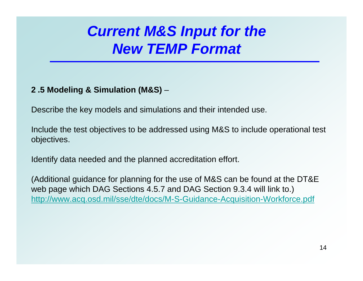### *Current M&S Input for the New TEMP Format*

### **2 .5 Modeling & Simulation (M&S)** –

Describe the key models and simulations and their intended use.

Include the test objectives to be addressed using M&S to include operational test objectives.

Identify data needed and the planned accreditation effort.

(Additional guidance for planning for the use of M&S can be found at the DT&E web page which DAG Sections 4.5.7 and DAG Section 9.3.4 will link to.) <http://www.acq.osd.mil/sse/dte/docs/M-S-Guidance-Acquisition-Workforce.pdf>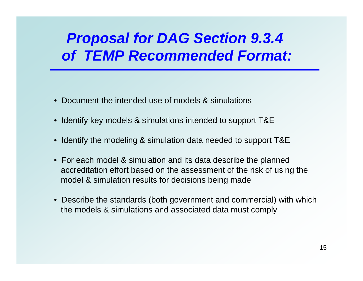## *Proposal for DAG Section 9.3.4 of TEMP Recommended Format:*

- •Document the intended use of models & simulations
- $\bullet$ Identify key models & simulations intended to support T&E
- •Identify the modeling & simulation data needed to support T&E
- For each model & simulation and its data describe the planned accreditation effort based on the assessment of the risk of using the model & simulation results for decisions being made
- Describe the standards (both government and commercial) with which the models & simulations and associated data must comply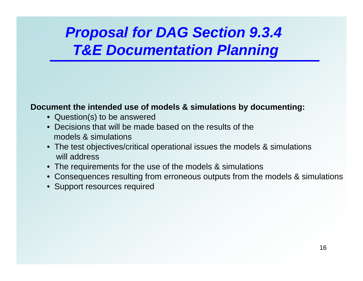# *Proposal for DAG Section 9.3.4 T&E Documentation Planning*

#### **Document the intended use of models & simulations by documenting:**

- Question(s) to be answered
- Decisions that will be made based on the results of the models & simulations
- The test objectives/critical operational issues the models & simulations will address
- The requirements for the use of the models & simulations
- Consequences resulting from erroneous outputs from the models & simulations
- Support resources required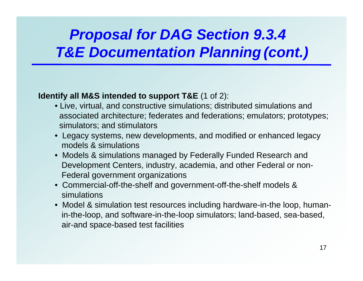# *Proposal for DAG Section 9.3.4 T&E Documentation Planning (cont.)*

### **Identify all M&S intended to support T&E** (1 of 2):

- Live, virtual, and constructive simulations; distributed simulations and associated architecture; federates and federations; emulators; prototypes; simulators; and stimulators
- Legacy systems, new developments, and modified or enhanced legacy models & simulations
- Models & simulations managed by Federally Funded Research and Development Centers, industry, academia, and other Federal or non-Federal government organizations
- Commercial-off-the-shelf and government-off-the-shelf models & simulations
- Model & simulation test resources including hardware-in-the loop, humanin-the-loop, and software-in-the-loop simulators; land-based, sea-based, air-and space-based test facilities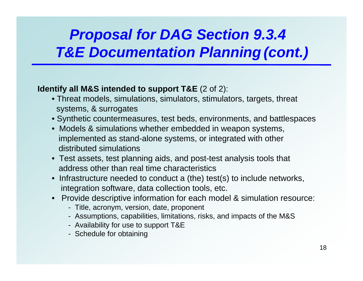# *Proposal for DAG Section 9.3.4 T&E Documentation Planning (cont.)*

### **Identify all M&S intended to support T&E** (2 of 2):

- Threat models, simulations, simulators, stimulators, targets, threat systems, & surrogates
- Synthetic countermeasures, test beds, environments, and battlespaces
- Models & simulations whether embedded in weapon systems, implemented as stand-alone systems, or integrated with other distributed simulations
- Test assets, test planning aids, and post-test analysis tools that address other than real time characteristics
- Infrastructure needed to conduct a (the) test(s) to include networks, integration software, data collection tools, etc.
- Provide descriptive information for each model & simulation resource:
	- Title, acronym, version, date, proponent
	- Assumptions, capabilities, limitations, risks, and impacts of the M&S
	- Availability for use to support T&E
	- Schedule for obtaining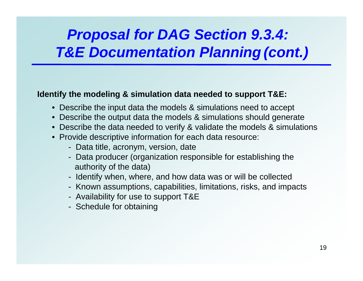# *Proposal for DAG Section 9.3.4: T&E Documentation Planning (cont.)*

### **Identify the modeling & simulation data needed to support T&E:**

- Describe the input data the models & simulations need to accept
- Describe the output data the models & simulations should generate
- Describe the data needed to verify & validate the models & simulations
- Provide descriptive information for each data resource:
	- Data title, acronym, version, date
	- Data producer (organization responsible for establishing the authority of the data)
	- Identify when, where, and how data was or will be collected
	- Known assumptions, capabilities, limitations, risks, and impacts
	- Availability for use to support T&E
	- Schedule for obtaining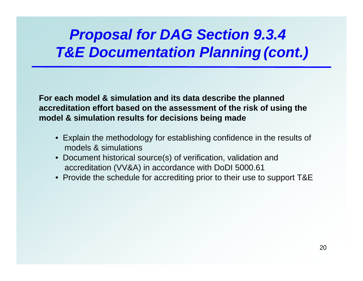### *Proposal for DAG Section 9.3.4 T&E Documentation Planning (cont.)*

**For each model & simulation and its data describe the planned accreditation effort based on the assessment of the risk of using the model & simulation results for decisions being made**

- Explain the methodology for establishing confidence in the results of models & simulations
- Document historical source(s) of verification, validation and accreditation (VV&A) in accordance with DoDI 5000.61
- Provide the schedule for accrediting prior to their use to support T&E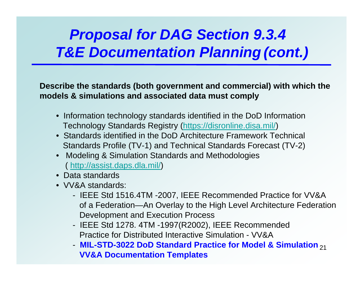### *Proposal for DAG Section 9.3.4 T&E Documentation Planning (cont.)*

**Describe the standards (both government and commercial) with which the models & simulations and associated data must comply**

- Information technology standards identified in the DoD Information Technology Standards Registry (<https://disronline.disa.mil/>)
- Standards identified in the DoD Architecture Framework Technical Standards Profile (TV-1) and Technical Standards Forecast (TV-2)
- Modeling & Simulation Standards and Methodologies (<http://assist.daps.dla.mil/>)
- Data standards
- VV&A standards:
	- IEEE Std 1516.4TM -2007, IEEE Recommended Practice for VV&A of a Federation—An Overlay to the High Level Architecture Federation Development and Execution Process
	- IEEE Std 1278. 4TM -1997(R2002), IEEE Recommended Practice for Distributed Interactive Simulation - VV&A
	- MIL-STD-3022 DoD Standard Practice for Model & Simulation <sub>21</sub> **VV&A Documentation Templates**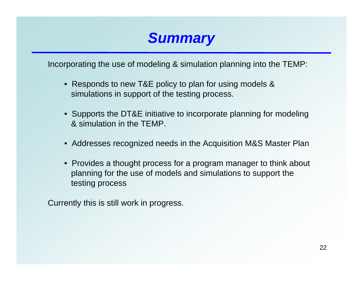

Incorporating the use of modeling & simulation planning into the TEMP:

- Responds to new T&E policy to plan for using models & simulations in support of the testing process.
- Supports the DT&E initiative to incorporate planning for modeling & simulation in the TEMP.
- Addresses recognized needs in the Acquisition M&S Master Plan
- Provides a thought process for a program manager to think about planning for the use of models and simulations to support the testing process

Currently this is still work in progress.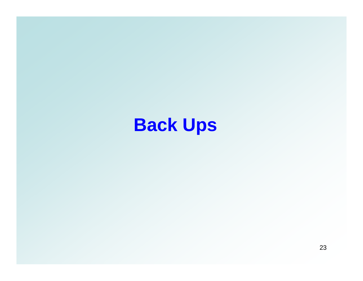# **Back Ups**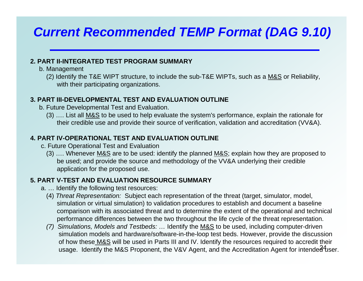### *Current Recommended TEMP Format (DAG 9.10)*

#### **2. PART II-INTEGRATED TEST PROGRAM SUMMARY**

- b. Management
	- (2) Identify the T&E WIPT structure, to include the sub-T&E WIPTs, such as a M&S or Reliability, with their participating organizations.

#### **3. PART III-DEVELOPMENTAL TEST AND EVALUATION OUTLINE**

- b. Future Developmental Test and Evaluation.
	- (3) …. List all M&S to be used to help evaluate the system's performance, explain the rationale for their credible use and provide their source of verification, validation and accreditation (VV&A).

#### **4. PART IV-OPERATIONAL TEST AND EVALUATION OUTLINE**

- c. Future Operational Test and Evaluation
	- (3) …. Whenever M&S are to be used: identify the planned M&S; explain how they are proposed to be used; and provide the source and methodology of the VV&A underlying their credible application for the proposed use.

#### **5. PART V-TEST AND EVALUATION RESOURCE SUMMARY**

- a. … Identify the following test resources:
	- (4) *Threat Representation:* Subject each representation of the threat (target, simulator, model, simulation or virtual simulation) to validation procedures to establish and document a baseline comparison with its associated threat and to determine the extent of the operational and technical performance differences between the two throughout the life cycle of the threat representation.
	- usage. Identify the M&S Proponent, the V&V Agent, and the Accreditation Agent for intende $\overline{\text{d}}\text{4}$ ser. *(7) Simulations, Models and Testbeds: …* Identify the M&S to be used, including computer-driven simulation models and hardware/software-in-the-loop test beds. However, provide the discussion of how these<u> M&S</u> will be used in Parts III and IV. Identify the resources required to accredit their